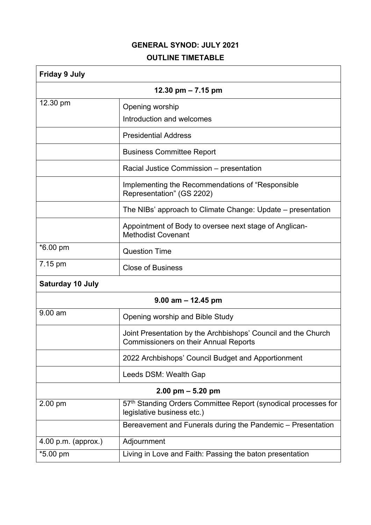## **GENERAL SYNOD: JULY 2021 OUTLINE TIMETABLE**

| <b>Friday 9 July</b>    |                                                                                                               |  |
|-------------------------|---------------------------------------------------------------------------------------------------------------|--|
| 12.30 pm $- 7.15$ pm    |                                                                                                               |  |
| 12.30 pm                | Opening worship                                                                                               |  |
|                         | Introduction and welcomes                                                                                     |  |
|                         | <b>Presidential Address</b>                                                                                   |  |
|                         | <b>Business Committee Report</b>                                                                              |  |
|                         | Racial Justice Commission – presentation                                                                      |  |
|                         | Implementing the Recommendations of "Responsible"<br>Representation" (GS 2202)                                |  |
|                         | The NIBs' approach to Climate Change: Update – presentation                                                   |  |
|                         | Appointment of Body to oversee next stage of Anglican-<br><b>Methodist Covenant</b>                           |  |
| *6.00 pm                | <b>Question Time</b>                                                                                          |  |
| 7.15 pm                 | <b>Close of Business</b>                                                                                      |  |
| <b>Saturday 10 July</b> |                                                                                                               |  |
|                         | $9.00$ am $- 12.45$ pm                                                                                        |  |
| $9.00$ am               | Opening worship and Bible Study                                                                               |  |
|                         | Joint Presentation by the Archbishops' Council and the Church<br><b>Commissioners on their Annual Reports</b> |  |
|                         | 2022 Archbishops' Council Budget and Apportionment                                                            |  |
|                         | Leeds DSM: Wealth Gap                                                                                         |  |
| $2.00$ pm $-5.20$ pm    |                                                                                                               |  |
| 2.00 pm                 | 57th Standing Orders Committee Report (synodical processes for<br>legislative business etc.)                  |  |
|                         | Bereavement and Funerals during the Pandemic - Presentation                                                   |  |
| $4.00$ p.m. (approx.)   | Adjournment                                                                                                   |  |
| *5.00 pm                | Living in Love and Faith: Passing the baton presentation                                                      |  |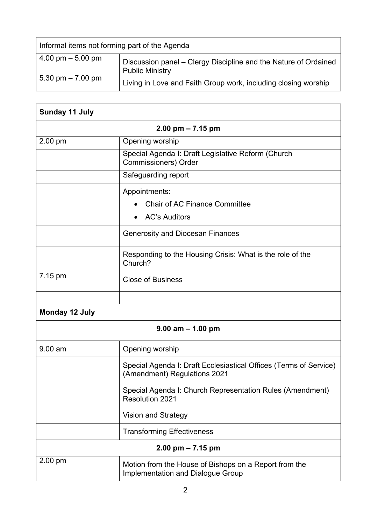| Informal items not forming part of the Agenda |                                                                                           |  |
|-----------------------------------------------|-------------------------------------------------------------------------------------------|--|
| $4.00 \text{ pm} - 5.00 \text{ pm}$           | Discussion panel - Clergy Discipline and the Nature of Ordained<br><b>Public Ministry</b> |  |
| 5.30 pm $-7.00$ pm                            | Living in Love and Faith Group work, including closing worship                            |  |

 $\overline{\mathbf{1}}$ 

| <b>Sunday 11 July</b> |                                                                                                   |  |
|-----------------------|---------------------------------------------------------------------------------------------------|--|
| $2.00$ pm $- 7.15$ pm |                                                                                                   |  |
| 2.00 pm               | Opening worship                                                                                   |  |
|                       | Special Agenda I: Draft Legislative Reform (Church<br><b>Commissioners) Order</b>                 |  |
|                       | Safeguarding report                                                                               |  |
|                       | Appointments:                                                                                     |  |
|                       | <b>Chair of AC Finance Committee</b>                                                              |  |
|                       | <b>AC's Auditors</b>                                                                              |  |
|                       | <b>Generosity and Diocesan Finances</b>                                                           |  |
|                       | Responding to the Housing Crisis: What is the role of the<br>Church?                              |  |
| 7.15 pm               | <b>Close of Business</b>                                                                          |  |
|                       |                                                                                                   |  |
| Monday 12 July        |                                                                                                   |  |
|                       | $9.00$ am $- 1.00$ pm                                                                             |  |
| $9.00$ am             | Opening worship                                                                                   |  |
|                       | Special Agenda I: Draft Ecclesiastical Offices (Terms of Service)<br>(Amendment) Regulations 2021 |  |
|                       | Special Agenda I: Church Representation Rules (Amendment)<br><b>Resolution 2021</b>               |  |
|                       | <b>Vision and Strategy</b>                                                                        |  |
|                       | <b>Transforming Effectiveness</b>                                                                 |  |
|                       | $2.00$ pm $- 7.15$ pm                                                                             |  |
| 2.00 pm               | Motion from the House of Bishops on a Report from the<br><b>Implementation and Dialogue Group</b> |  |